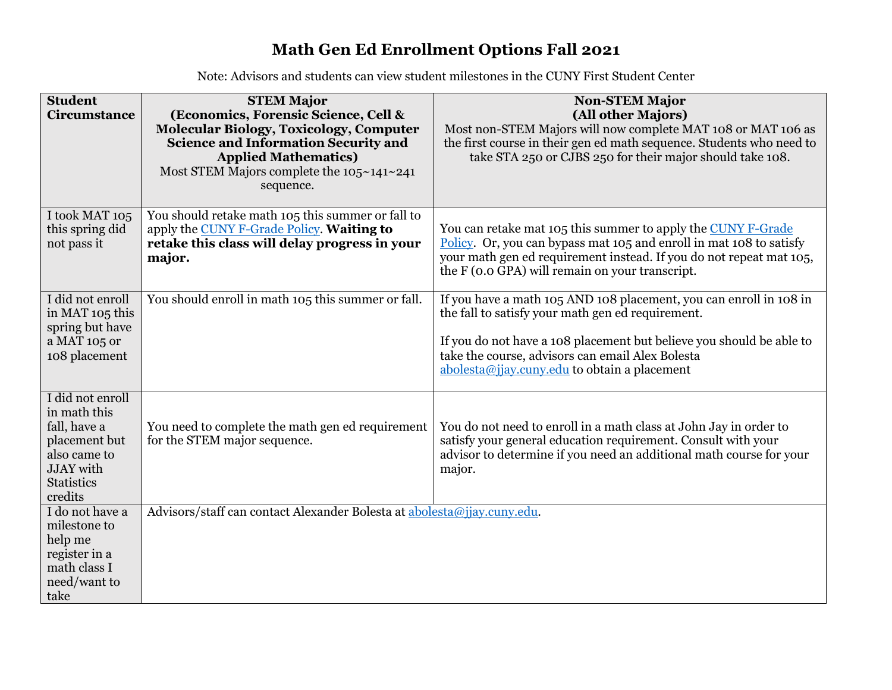## **Math Gen Ed Enrollment Options Fall 2021**

Note: Advisors and students can view student milestones in the CUNY First Student Center

| <b>Student</b>                | <b>STEM Major</b>                                                       | <b>Non-STEM Major</b>                                                |  |  |  |  |
|-------------------------------|-------------------------------------------------------------------------|----------------------------------------------------------------------|--|--|--|--|
| Circumstance                  | (Economics, Forensic Science, Cell &                                    | (All other Majors)                                                   |  |  |  |  |
|                               | <b>Molecular Biology, Toxicology, Computer</b>                          | Most non-STEM Majors will now complete MAT 108 or MAT 106 as         |  |  |  |  |
|                               | <b>Science and Information Security and</b>                             | the first course in their gen ed math sequence. Students who need to |  |  |  |  |
|                               | <b>Applied Mathematics)</b>                                             | take STA 250 or CJBS 250 for their major should take 108.            |  |  |  |  |
|                               | Most STEM Majors complete the $105~141~241$                             |                                                                      |  |  |  |  |
|                               | sequence.                                                               |                                                                      |  |  |  |  |
|                               |                                                                         |                                                                      |  |  |  |  |
| I took MAT 105                | You should retake math 105 this summer or fall to                       |                                                                      |  |  |  |  |
| this spring did               | apply the CUNY F-Grade Policy. Waiting to                               | You can retake mat 105 this summer to apply the CUNY F-Grade         |  |  |  |  |
| not pass it                   | retake this class will delay progress in your                           | Policy. Or, you can bypass mat 105 and enroll in mat 108 to satisfy  |  |  |  |  |
|                               | major.                                                                  | your math gen ed requirement instead. If you do not repeat mat 105,  |  |  |  |  |
|                               |                                                                         | the F (0.0 GPA) will remain on your transcript.                      |  |  |  |  |
|                               |                                                                         |                                                                      |  |  |  |  |
| I did not enroll              | You should enroll in math 105 this summer or fall.                      | If you have a math 105 AND 108 placement, you can enroll in 108 in   |  |  |  |  |
| in MAT 105 this               |                                                                         | the fall to satisfy your math gen ed requirement.                    |  |  |  |  |
| spring but have               |                                                                         |                                                                      |  |  |  |  |
| a MAT 105 or                  |                                                                         | If you do not have a 108 placement but believe you should be able to |  |  |  |  |
| 108 placement                 |                                                                         | take the course, advisors can email Alex Bolesta                     |  |  |  |  |
|                               |                                                                         | $\alpha$ abolesta@jjay.cuny.edu to obtain a placement                |  |  |  |  |
|                               |                                                                         |                                                                      |  |  |  |  |
| I did not enroll              |                                                                         |                                                                      |  |  |  |  |
| in math this                  |                                                                         |                                                                      |  |  |  |  |
| fall, have a                  | You need to complete the math gen ed requirement                        | You do not need to enroll in a math class at John Jay in order to    |  |  |  |  |
| placement but<br>also came to | for the STEM major sequence.                                            | satisfy your general education requirement. Consult with your        |  |  |  |  |
| <b>JJAY</b> with              |                                                                         | advisor to determine if you need an additional math course for your  |  |  |  |  |
| <b>Statistics</b>             |                                                                         | major.                                                               |  |  |  |  |
| credits                       |                                                                         |                                                                      |  |  |  |  |
| I do not have a               | Advisors/staff can contact Alexander Bolesta at abolesta@jjay.cuny.edu. |                                                                      |  |  |  |  |
| milestone to                  |                                                                         |                                                                      |  |  |  |  |
| help me                       |                                                                         |                                                                      |  |  |  |  |
| register in a                 |                                                                         |                                                                      |  |  |  |  |
| math class I                  |                                                                         |                                                                      |  |  |  |  |
| need/want to                  |                                                                         |                                                                      |  |  |  |  |
| take                          |                                                                         |                                                                      |  |  |  |  |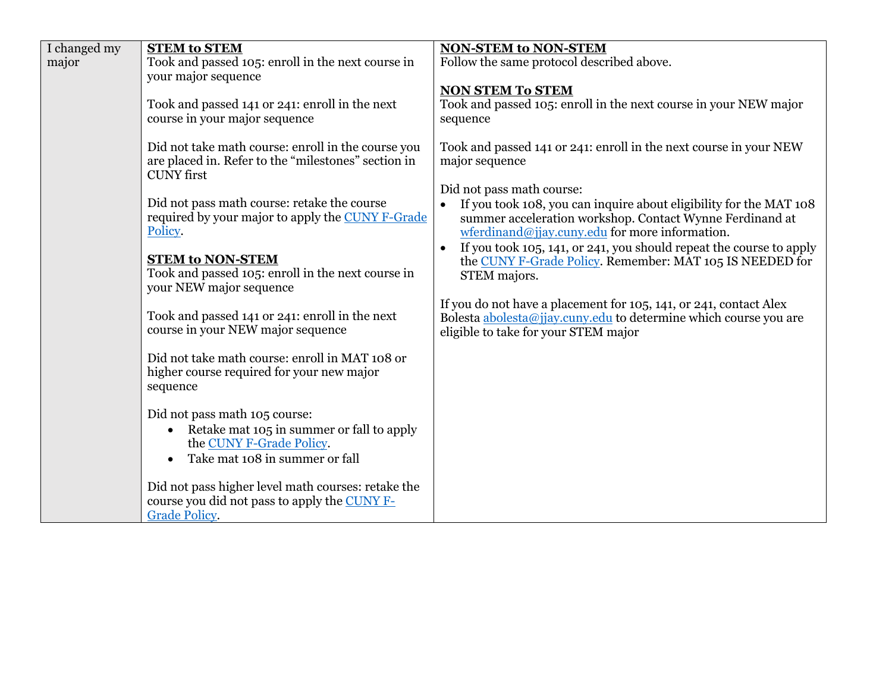| I changed my | <b>STEM to STEM</b>                                    | <b>NON-STEM to NON-STEM</b>                                                      |  |  |  |
|--------------|--------------------------------------------------------|----------------------------------------------------------------------------------|--|--|--|
| major        | Took and passed 105: enroll in the next course in      | Follow the same protocol described above.                                        |  |  |  |
|              | your major sequence                                    |                                                                                  |  |  |  |
|              |                                                        | <b>NON STEM To STEM</b>                                                          |  |  |  |
|              | Took and passed 141 or 241: enroll in the next         | Took and passed 105: enroll in the next course in your NEW major                 |  |  |  |
|              | course in your major sequence                          | sequence                                                                         |  |  |  |
|              |                                                        |                                                                                  |  |  |  |
|              | Did not take math course: enroll in the course you     | Took and passed 141 or 241: enroll in the next course in your NEW                |  |  |  |
|              | are placed in. Refer to the "milestones" section in    | major sequence                                                                   |  |  |  |
|              | <b>CUNY</b> first                                      |                                                                                  |  |  |  |
|              |                                                        | Did not pass math course:                                                        |  |  |  |
|              | Did not pass math course: retake the course            | If you took 108, you can inquire about eligibility for the MAT 108               |  |  |  |
|              | required by your major to apply the CUNY F-Grade       | summer acceleration workshop. Contact Wynne Ferdinand at                         |  |  |  |
|              | Policy.                                                | wferdinand@jjay.cuny.edu for more information.                                   |  |  |  |
|              |                                                        | If you took 105, 141, or 241, you should repeat the course to apply<br>$\bullet$ |  |  |  |
|              | <b>STEM to NON-STEM</b>                                | the CUNY F-Grade Policy. Remember: MAT 105 IS NEEDED for                         |  |  |  |
|              | Took and passed 105: enroll in the next course in      | STEM majors.                                                                     |  |  |  |
|              | your NEW major sequence                                |                                                                                  |  |  |  |
|              |                                                        | If you do not have a placement for 105, 141, or 241, contact Alex                |  |  |  |
|              | Took and passed 141 or 241: enroll in the next         | Bolesta abolesta@jjay.cuny.edu to determine which course you are                 |  |  |  |
|              | course in your NEW major sequence                      | eligible to take for your STEM major                                             |  |  |  |
|              |                                                        |                                                                                  |  |  |  |
|              | Did not take math course: enroll in MAT 108 or         |                                                                                  |  |  |  |
|              | higher course required for your new major              |                                                                                  |  |  |  |
|              | sequence                                               |                                                                                  |  |  |  |
|              |                                                        |                                                                                  |  |  |  |
|              | Did not pass math 105 course:                          |                                                                                  |  |  |  |
|              | Retake mat 105 in summer or fall to apply<br>$\bullet$ |                                                                                  |  |  |  |
|              | the CUNY F-Grade Policy.                               |                                                                                  |  |  |  |
|              | Take mat 108 in summer or fall                         |                                                                                  |  |  |  |
|              |                                                        |                                                                                  |  |  |  |
|              | Did not pass higher level math courses: retake the     |                                                                                  |  |  |  |
|              | course you did not pass to apply the CUNY F-           |                                                                                  |  |  |  |
|              | <b>Grade Policy.</b>                                   |                                                                                  |  |  |  |